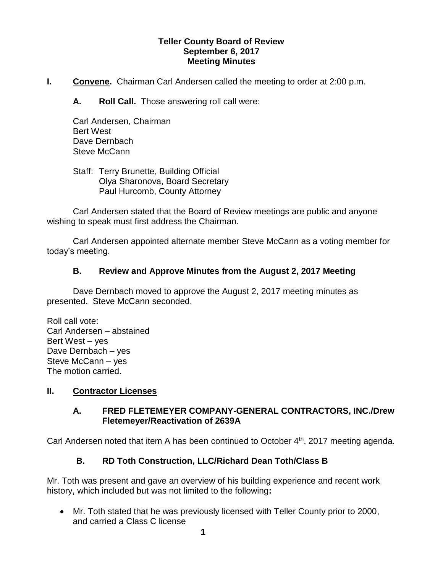## **Teller County Board of Review September 6, 2017 Meeting Minutes**

**I. Convene.** Chairman Carl Andersen called the meeting to order at 2:00 p.m.

**A. Roll Call.** Those answering roll call were:

Carl Andersen, Chairman Bert West Dave Dernbach Steve McCann

Staff: Terry Brunette, Building Official Olya Sharonova, Board Secretary Paul Hurcomb, County Attorney

Carl Andersen stated that the Board of Review meetings are public and anyone wishing to speak must first address the Chairman.

Carl Andersen appointed alternate member Steve McCann as a voting member for today's meeting.

## **B. Review and Approve Minutes from the August 2, 2017 Meeting**

Dave Dernbach moved to approve the August 2, 2017 meeting minutes as presented. Steve McCann seconded.

Roll call vote: Carl Andersen – abstained Bert West – yes Dave Dernbach – yes Steve McCann – yes The motion carried.

## **II. Contractor Licenses**

## **A. FRED FLETEMEYER COMPANY-GENERAL CONTRACTORS, INC./Drew Fletemeyer/Reactivation of 2639A**

Carl Andersen noted that item A has been continued to October 4<sup>th</sup>, 2017 meeting agenda.

# **B. RD Toth Construction, LLC/Richard Dean Toth/Class B**

Mr. Toth was present and gave an overview of his building experience and recent work history, which included but was not limited to the following**:**

 Mr. Toth stated that he was previously licensed with Teller County prior to 2000, and carried a Class C license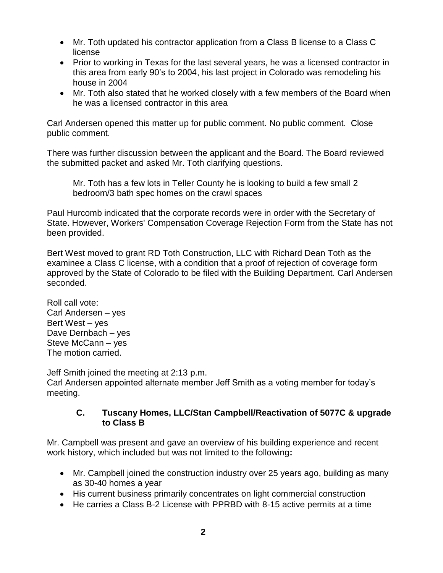- Mr. Toth updated his contractor application from a Class B license to a Class C license
- Prior to working in Texas for the last several years, he was a licensed contractor in this area from early 90's to 2004, his last project in Colorado was remodeling his house in 2004
- Mr. Toth also stated that he worked closely with a few members of the Board when he was a licensed contractor in this area

Carl Andersen opened this matter up for public comment. No public comment. Close public comment.

There was further discussion between the applicant and the Board. The Board reviewed the submitted packet and asked Mr. Toth clarifying questions.

Mr. Toth has a few lots in Teller County he is looking to build a few small 2 bedroom/3 bath spec homes on the crawl spaces

Paul Hurcomb indicated that the corporate records were in order with the Secretary of State. However, Workers' Compensation Coverage Rejection Form from the State has not been provided.

Bert West moved to grant RD Toth Construction, LLC with Richard Dean Toth as the examinee a Class C license, with a condition that a proof of rejection of coverage form approved by the State of Colorado to be filed with the Building Department. Carl Andersen seconded.

Roll call vote: Carl Andersen – yes Bert West – yes Dave Dernbach – yes Steve McCann – yes The motion carried.

Jeff Smith joined the meeting at 2:13 p.m.

Carl Andersen appointed alternate member Jeff Smith as a voting member for today's meeting.

## **C. Tuscany Homes, LLC/Stan Campbell/Reactivation of 5077C & upgrade to Class B**

Mr. Campbell was present and gave an overview of his building experience and recent work history, which included but was not limited to the following**:**

- Mr. Campbell joined the construction industry over 25 years ago, building as many as 30-40 homes a year
- His current business primarily concentrates on light commercial construction
- He carries a Class B-2 License with PPRBD with 8-15 active permits at a time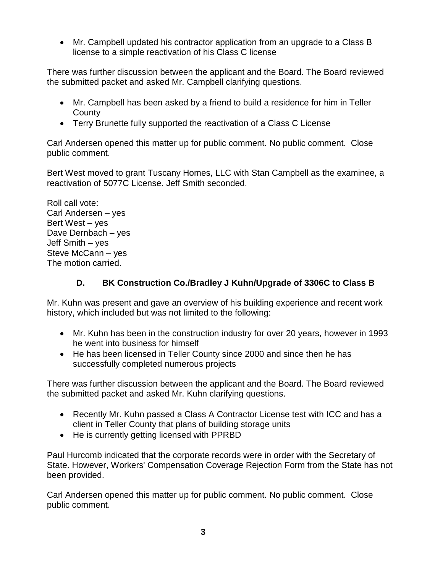Mr. Campbell updated his contractor application from an upgrade to a Class B license to a simple reactivation of his Class C license

There was further discussion between the applicant and the Board. The Board reviewed the submitted packet and asked Mr. Campbell clarifying questions.

- Mr. Campbell has been asked by a friend to build a residence for him in Teller **County**
- Terry Brunette fully supported the reactivation of a Class C License

Carl Andersen opened this matter up for public comment. No public comment. Close public comment.

Bert West moved to grant Tuscany Homes, LLC with Stan Campbell as the examinee, a reactivation of 5077C License. Jeff Smith seconded.

Roll call vote: Carl Andersen – yes Bert West – yes Dave Dernbach – yes Jeff Smith – yes Steve McCann – yes The motion carried.

# **D. BK Construction Co./Bradley J Kuhn/Upgrade of 3306C to Class B**

Mr. Kuhn was present and gave an overview of his building experience and recent work history, which included but was not limited to the following:

- Mr. Kuhn has been in the construction industry for over 20 years, however in 1993 he went into business for himself
- He has been licensed in Teller County since 2000 and since then he has successfully completed numerous projects

There was further discussion between the applicant and the Board. The Board reviewed the submitted packet and asked Mr. Kuhn clarifying questions.

- Recently Mr. Kuhn passed a Class A Contractor License test with ICC and has a client in Teller County that plans of building storage units
- He is currently getting licensed with PPRBD

Paul Hurcomb indicated that the corporate records were in order with the Secretary of State. However, Workers' Compensation Coverage Rejection Form from the State has not been provided.

Carl Andersen opened this matter up for public comment. No public comment. Close public comment.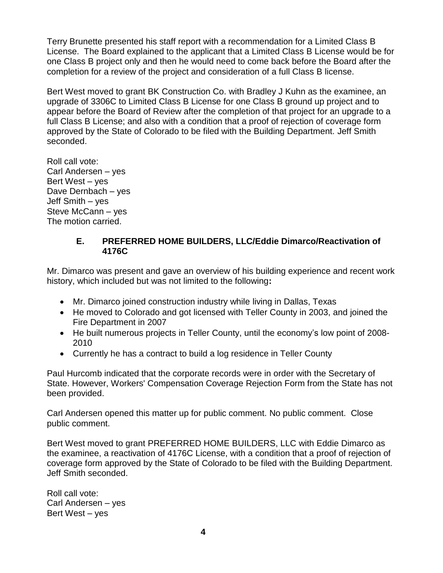Terry Brunette presented his staff report with a recommendation for a Limited Class B License. The Board explained to the applicant that a Limited Class B License would be for one Class B project only and then he would need to come back before the Board after the completion for a review of the project and consideration of a full Class B license.

Bert West moved to grant BK Construction Co. with Bradley J Kuhn as the examinee, an upgrade of 3306C to Limited Class B License for one Class B ground up project and to appear before the Board of Review after the completion of that project for an upgrade to a full Class B License; and also with a condition that a proof of rejection of coverage form approved by the State of Colorado to be filed with the Building Department. Jeff Smith seconded.

Roll call vote: Carl Andersen – yes Bert West – yes Dave Dernbach – yes Jeff Smith – yes Steve McCann – yes The motion carried.

### **E. PREFERRED HOME BUILDERS, LLC/Eddie Dimarco/Reactivation of 4176C**

Mr. Dimarco was present and gave an overview of his building experience and recent work history, which included but was not limited to the following**:**

- Mr. Dimarco joined construction industry while living in Dallas, Texas
- He moved to Colorado and got licensed with Teller County in 2003, and joined the Fire Department in 2007
- He built numerous projects in Teller County, until the economy's low point of 2008- 2010
- Currently he has a contract to build a log residence in Teller County

Paul Hurcomb indicated that the corporate records were in order with the Secretary of State. However, Workers' Compensation Coverage Rejection Form from the State has not been provided.

Carl Andersen opened this matter up for public comment. No public comment. Close public comment.

Bert West moved to grant PREFERRED HOME BUILDERS, LLC with Eddie Dimarco as the examinee, a reactivation of 4176C License, with a condition that a proof of rejection of coverage form approved by the State of Colorado to be filed with the Building Department. Jeff Smith seconded.

Roll call vote: Carl Andersen – yes Bert West – yes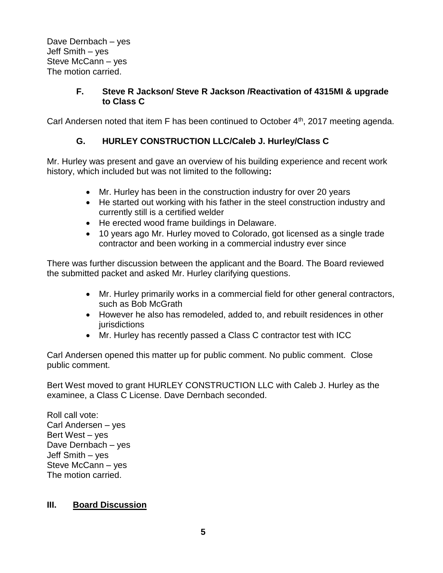Dave Dernbach – yes Jeff Smith – yes Steve McCann – yes The motion carried.

## **F. Steve R Jackson/ Steve R Jackson /Reactivation of 4315MI & upgrade to Class C**

Carl Andersen noted that item F has been continued to October 4<sup>th</sup>, 2017 meeting agenda.

# **G. HURLEY CONSTRUCTION LLC/Caleb J. Hurley/Class C**

Mr. Hurley was present and gave an overview of his building experience and recent work history, which included but was not limited to the following**:**

- Mr. Hurley has been in the construction industry for over 20 years
- He started out working with his father in the steel construction industry and currently still is a certified welder
- He erected wood frame buildings in Delaware.
- 10 years ago Mr. Hurley moved to Colorado, got licensed as a single trade contractor and been working in a commercial industry ever since

There was further discussion between the applicant and the Board. The Board reviewed the submitted packet and asked Mr. Hurley clarifying questions.

- Mr. Hurley primarily works in a commercial field for other general contractors, such as Bob McGrath
- However he also has remodeled, added to, and rebuilt residences in other **jurisdictions**
- Mr. Hurley has recently passed a Class C contractor test with ICC

Carl Andersen opened this matter up for public comment. No public comment. Close public comment.

Bert West moved to grant HURLEY CONSTRUCTION LLC with Caleb J. Hurley as the examinee, a Class C License. Dave Dernbach seconded.

Roll call vote: Carl Andersen – yes Bert West – yes Dave Dernbach – yes Jeff Smith – yes Steve McCann – yes The motion carried.

#### **III. Board Discussion**